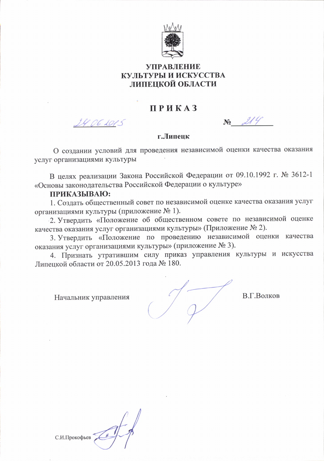

## **УПРАВЛЕНИЕ** КУЛЬТУРЫ И ИСКУССТВА ЛИПЕЦКОЙ ОБЛАСТИ

# **ПРИКАЗ**

24 D.C. 201

 $N_2$   $214$ 

#### г.Липенк

О создании условий для проведения независимой оценки качества оказания услуг организациями культуры

В целях реализации Закона Российской Федерации от 09.10.1992 г. № 3612-1 «Основы законодательства Российской Федерации о культуре»

#### ПРИКАЗЫВАЮ:

1. Созлать общественный совет по независимой оценке качества оказания услуг организациями культуры (приложение № 1).

2. Утвердить «Положение об общественном совете по независимой оценке качества оказания услуг организациями культуры» (Приложение № 2).

3. Утвердить «Положение по проведению независимой оценки качества оказания услуг организациями культуры» (приложение № 3).

4. Признать утратившим силу приказ управления культуры и искусства Липецкой области от 20.05.2013 года № 180.

Начальник управления

В.Г.Волков

С.И.Прокофьев